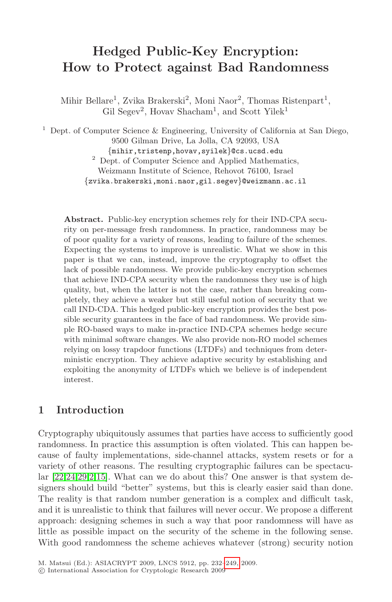# **Hedged Public-Key Encryption: How to Protect against Bad Randomness**

Mihir Bellare<sup>1</sup>, Zvika Brakerski<sup>2</sup>, Moni Naor<sup>2</sup>, Thomas Ristenpart<sup>1</sup>, Gil Segev<sup>2</sup>, Hovav Shacham<sup>1</sup>, and Scott Yilek<sup>1</sup>

<sup>1</sup> Dept. of Computer Science  $\&$  Engineering, University of California at San Diego, 9500 Gilman Drive, La Jolla, CA 92093, USA

{mihir,tristenp,hovav,syilek}@cs.ucsd.edu

<sup>2</sup> Dept. of Computer Science and Applied Mathematics,

Weizmann Institute of Science, Rehovot 76100, Israel

{zvika.brakerski,moni.naor,gil.segev}@weizmann.ac.il

**Abstract.** Public-key encryption schemes rely for their IND-CPA security on per-message fresh randomness. In practice, randomness may be of poor quality for a variety of reasons, leading to failure of the schemes. Expecting the systems to improve is unrealistic. What we show in this paper is that we can, instead, improve the cryptography to offset the lack of possible randomness. We provide public-key encryption schemes that achieve IND-CPA security when the randomness they use is of high quality, but, when the latter is not the case, rather than breaking completely, they achieve a weaker but still useful notion of security that we call IND-CDA. This hedged public-key encryption provides the best possible security guarantees in the face of bad randomness. We provide simple RO-based ways to make in-practice IND-CPA schemes hedge secure with minimal software changes. We also provide non-RO model schemes relying on lossy trapdoor functions (LTDFs) and techniques from deterministic encryption. They achieve adaptive security by establishing and exploiting the anonymity of LTDFs which we believe is of independent interest.

# **1 Introduction**

Cryptography ubiquitously assumes that parties have access to sufficiently good randomness. In practice this assumption is often violated. This can happen because of faulty implementations, side-channel attacks, system resets or for a variety of other reasons. The resulting cryptographic failures can be spectacular [22,24,29,2,15]. What ca[n we](#page-17-0) do about this? One answer is that system designers should build "better" systems, but this is clearly easier said than done. The reality is that random number generation is a complex and difficult task, and it is unrealistic to think that failures will never occur. We propose a different approach: designing schemes in such a way that poor randomness will have as little as possible impact on the security of the scheme in the following sense. With good randomness the scheme achieves whatever (strong) security notion

M. Matsui (Ed.): ASIACRYPT 2009, LNCS 5912, pp. 232–249, 2009.

<sup>-</sup>c International Association for Cryptologic Research 2009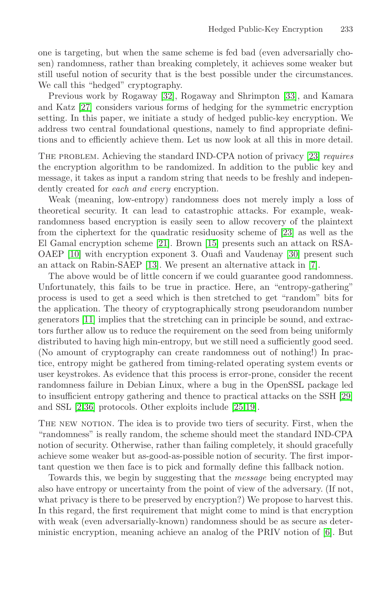one is targeting, but when the same scheme is fed bad (even adversarially chosen) randomness, rather than breaking completely, it achieves some weaker but still useful notion of security that is the best po[ssib](#page-17-1)le under the circumstances. We call this "hedged" cryptography.

Previous work by Rogaway [32], Rogaway and Shrimpton [33], and Kamara and Katz [27] considers various forms of hedging for the symmetric encryption setting. In this paper, we initiate a study of hedged public-key encryption. We address two central foundational questions, namely to find appropriate definitions and to efficiently achieve them. Let us now look at all this in more detail.

The prob[lem](#page-17-2). Achievi[ng](#page-16-0) the standard IN[D-C](#page-17-1)PA notion of privacy [23] *requires* the encryption algorithm to be randomized[. In](#page-17-3) addition to the public key and message[, it](#page-16-1) takes as input a random string that n[eed](#page-16-2)s to be freshly and independently created for *each and every* encryption.

Weak (meaning, low-entropy) randomness does not merely imply a loss of theoretical security. It can lead to catastrophic attacks. For example, weakrandomness based encryption is easily seen to allow recovery of the plaintext from the ciphertext for the quadratic residuosity scheme of [23] as well as the El Gamal encryption scheme [21]. Brown [15] presents such an attack on RSA-OAEP [10] with encryption exponent 3. Ouafi and Vaudenay [30] present such an attack on Rabin-SAEP [13]. We present an alternative attack in [7].

The above would be of little concern if we could guarantee good randomness. Unfortunately, this fails to be true in practice. Here, an "entropy-gathering" process is used to get a seed which is then stretched to get "random" bits for the application. The theory of cryptographically strong [pseu](#page-17-4)dorandom number generators [11] implies that th[e st](#page-17-5)[ret](#page-17-6)ching can in principle be sound, and extractors further allow us to reduce the requirement on the seed from being uniformly distributed to having high min-entropy, but we still need a sufficiently good seed. (No amount of cryptography can create randomness out of nothing!) In practice, entropy might be gathered from timing-related operating system events or user keystrokes. As evidence that this process is error-prone, consider the recent randomness failure in Debian Linux, where a bug in the OpenSSL package led to insufficient entropy gathering and thence to practical attacks on the SSH [29] and SSL [2,36] protocols. Other exploits include [25,19].

THE NEW NOTION. The idea is to provide two tiers of security. First, when the "randomness" is really random, the scheme should meet the standard IND-CPA notion of security. Otherwise, rather than failing com[ple](#page-16-3)tely, it should gracefully achieve some weaker but as-good-as-possible notion of security. The first important question we then face is to pick and formally define this fallback notion.

Towards this, we begin by suggesting that the *message* being encrypted may also have entropy or uncertainty from the point of view of the adversary. (If not, what privacy is there to be preserved by encryption?) We propose to harvest this. In this regard, the first requirement that might come to mind is that encryption with weak (even adversarially-known) randomness should be as secure as deterministic encryption, meaning achieve an analog of the PRIV notion of [6]. But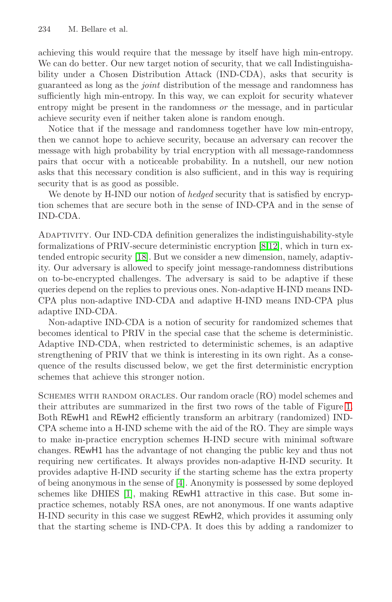achieving this would require that the message by itself have high min-entropy. We can do better. Our new target notion of security, that we call Indistinguishability under a Chosen Distribution Attack (IND-CDA), asks that security is guaranteed as long as the *joint* distribution of the message and randomness has sufficiently high min-entropy. In this way, we can exploit for security whatever entropy might be present in the randomness *or* the message, and in particular achieve security even if neither taken alone is random enough.

Notice that if the message and randomness together have low min-entropy, then we cannot hope to achieve security, because an adversary can recover the message with high probability by trial encryption with all message-randomness pairs that occur with a noticeable [pr](#page-16-4)[oba](#page-16-5)bility. In a nutshell, our new notion asks t[hat](#page-17-7) this necessary condition is also sufficient, and in this way is requiring security that is as good as possible.

We denote by H-IND our notion of *hedged* security that is satisfied by encryption schemes that are secure both in the sense of IND-CPA and in the sense of IND-CDA.

Adaptivity. Our IND-CDA definition generalizes the indistinguishability-style formalizations of PRIV-secure deterministic encryption [8,12], which in turn extended entropic security [18]. But we consider a new dimension, namely, adaptivity. Our adversary is allowed to specify joint message-randomness distributions on to-be-encrypted challenges. The adversary is said to be adaptive if these queries depend on the replies to previous ones. Non-adaptive H-IND means IND-CPA plus non-adaptive IND-CDA and adaptive H-IND means IND-CPA plus adaptive IND-CDA.

Non-adaptive IND-CDA is a notion of security for ran[dom](#page-3-0)ized schemes that becomes identical to PRIV in the special case that the scheme is deterministic. Adaptive IND-CDA, when restricted to deterministic schemes, is an adaptive strengthening of PRIV that we think is interesting in its own right. As a consequence of the results discussed below, we get the first deterministic encryption schemes that achieve this stronger notion.

Schemes with [ra](#page-16-6)ndom oracles. Our random oracle (RO) model schemes and th[eir](#page-16-7) attributes are summarized in the first two rows of the table of Figure 1. Both REwH1 and REwH2 efficiently transform an arbitrary (randomized) IND-CPA scheme into a H-IND scheme with the aid of the RO. They are simple ways to make in-practice encryption schemes H-IND secure with minimal software changes. REwH1 has the advantage of not changing the public key and thus not requiring new certificates. It always provides non-adaptive H-IND security. It provides adaptive H-IND security if the starting scheme has the extra property of being anonymous in the sense of [4]. Anonymity is possessed by some deployed schemes like DHIES [1], making REwH1 attractive in this case. But some inpractice schemes, notably RSA ones, are not anonymous. If one wants adaptive H-IND security in this case we suggest REwH2, which provides it assuming only that the starting scheme is IND-CPA. It does this by adding a randomizer to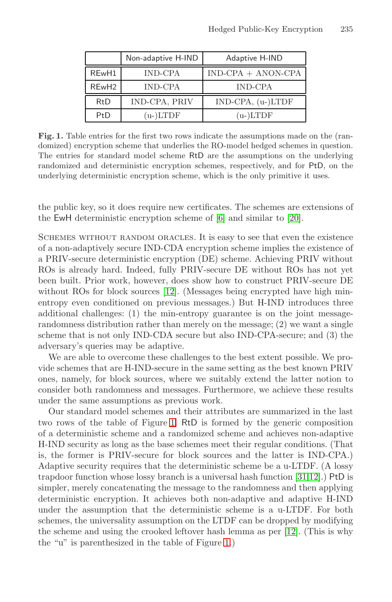|                   | Non-adaptive H-IND | Adaptive H-IND       |
|-------------------|--------------------|----------------------|
| REwH1             | IND-CPA            | $IND-CPA + ANON-CPA$ |
| REwH <sub>2</sub> | IND-CPA            | <b>IND-CPA</b>       |
| <b>RtD</b>        | IND-CPA, PRIV      | $IND-CPA, (u-)LTDF$  |
| PtD               | $(u-)LTDF$         | $(u-)LTDF$           |

<span id="page-3-0"></span>**Fig. 1.** Table entries for the [fir](#page-16-3)st two rows indic[ate](#page-17-8) the assumptions made on the (randomized) encryption scheme that underlies the RO-model hedged schemes in question. The entries for standard model scheme RtD are the assumptions on the underlying randomized and deterministic encryption schemes, respectively, and for PtD, on the underlying deterministic encryption scheme, which is the only primitive it uses.

the public ke[y, s](#page-16-5)o it does require new certificates. The schemes are extensions of the EwH deterministic encryption scheme of [6] and similar to [20].

Schemes without random oracles. It is easy to see that even the existence of a non-adaptively secure IND-CDA encryption scheme implies the existence of a PRIV-secure deterministic encryption (DE) scheme. Achieving PRIV without ROs is already hard. Indeed, fully PRIV-secure DE without ROs has not yet been built. Prior work, however, does show how to construct PRIV-secure DE without ROs for block sources [12]. (Messages being encrypted have high minentropy even conditioned on previous messages.) But H-IND introduces three additional challenges: (1) the min-entropy guarantee is on the joint messagerandomness distribution rather than merely on the message; (2) we want a single scheme that i[s n](#page-3-0)ot only IND-CDA secure but also IND-CPA-secure; and (3) the adversary's queries may be adaptive.

We are able to overcome these challenges to the best extent possible. We provide schemes that are H-IND-secure in the same setting as the best known PRIV ones, namely, for block sources, where we suitably extend the latter notion to consider both randomness and messages. Furt[her](#page-17-9)[mo](#page-16-5)re, we achieve these results under the same assumptions as previous work.

Our standard model schemes and their attributes are summarized in the last two rows of the table of Figure 1. RtD is formed by the generic composition of a deterministic scheme and a randomized scheme and achieves non-adaptive H-IND security as long as the base schemes [me](#page-16-5)et their regular conditions. (That is, the former is PRIV-sec[ure](#page-3-0) for block sources and the latter is IND-CPA.) Adaptive security requires that the deterministic scheme be a u-LTDF. (A lossy trapdoor function whose lossy branch is a universal hash function [31,12].) PtD is simpler, merely concatenating the message to the randomness and then applying deterministic encryption. It achieves both non-adaptive and adaptive H-IND under the assumption that the deterministic scheme is a u-LTDF. For both schemes, the universality assumption on the LTDF can be dropped by modifying the scheme and using the crooked leftover hash lemma as per [12]. (This is why the "u" is parenthesized in the table of Figure 1.)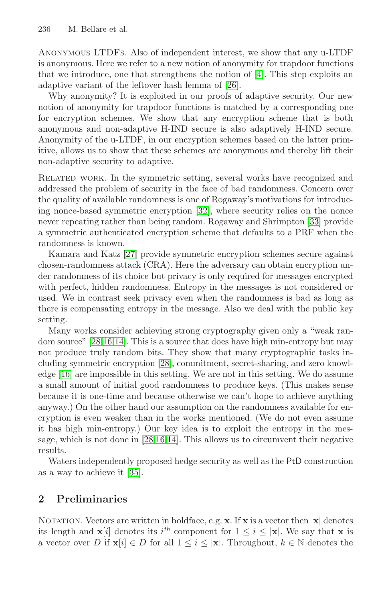Anonymous LTDFs. Also of independent interest, we show that any u-LTDF is anonymous. Here we refer to a new notion of anonymity for trapdoor functions that we introduce, one that strengthens the notion of [4]. This step exploits an adaptive variant of the leftover hash lemma of [26].

Why anonymity? It is exploited in our proofs of adaptive security. Our new notion of anonymity for trapdoor functions is matched by a corresponding one for encryption schemes. We show that any encryption scheme that is both anonymous and non[-ada](#page-17-10)ptive H-IND secure is also adaptively H-IND secure. Anonymity of the u-LTDF, in our encryption sch[eme](#page-17-11)s based on the latter primitive, allows us to show that these schemes are anonymous and thereby lift their non-adaptive security to adaptive.

R[elat](#page-17-12)ed work. In the symmetric setting, several works have recognized and addressed the problem of security in the face of bad randomness. Concern over the quality of available randomness is one of Rogaway's motivations for introducing nonce-based symmetric encryption [32], where security relies on the nonce never repeating rather than being random. Rogaway and Shrimpton [33] provide a symmetric authenticated encryption scheme that defaults to a PRF when the randomness is known.

Kamara and Katz [27] provide symmetric encryption schemes secure against [cho](#page-16-8)sen-randomness attack (CRA). Here the adversary can obtain encryption under random[nes](#page-17-13)s of its choice but privacy is only required for messages encrypted with perfect, hidden randomness. Entropy in the messages is not considered or used. We in contrast seek privacy even when the randomness is bad as long as there is compensating entropy in the message. Also we deal with the public key setting.

Many works consider achieving strong cryptography given only a "weak random source" [28,16,14]. This is a source that does have high min-entropy but may not pr[odu](#page-17-13)[ce](#page-17-14) [trul](#page-16-8)y random bits. They show that many cryptographic tasks including symmetric encryption [28], commitment, secret-sharing, and zero knowledge [16] are impossible in this setting. We are not in this setting. We do assume a s[mall](#page-17-15) amount of initial good randomness to produce keys. (This makes sense because it is one-time and because otherwise we can't hope to achieve anything anyway.) On the other hand our assumption on the randomness available for encryption is even weaker than in the works mentioned. (We do not even assume it has high min-entropy.) Our key idea is to exploit the entropy in the message, which is not done in [28,16,14]. This allows us to circumvent their negative results.

Waters independently proposed hedge security as well as the PtD construction as a way to achieve it [35].

# **2 Preliminaries**

NOTATION. Vectors are written in boldface, e.g.  $\mathbf{x}$ . If  $\mathbf{x}$  is a vector then  $|\mathbf{x}|$  denotes its length and **x**[i] denotes its i<sup>th</sup> component for  $1 \leq i \leq |\mathbf{x}|$ . We say that **x** is a vector over D if  $\mathbf{x}[i] \in D$  for all  $1 \leq i \leq |\mathbf{x}|$ . Throughout,  $k \in \mathbb{N}$  denotes the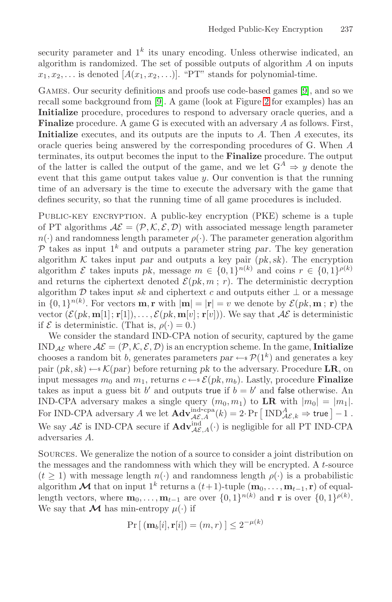security parameter and  $1^k$  its unary encoding. Unless otherwise indicated, an algorithm is randomized. The set of possible outputs of algorithm A on inputs  $x_1, x_2,...$  is denoted  $[A(x_1, x_2,...)]$ . "PT" stands for polynomial-time.

Games. Our security definitions and proofs use code-based games [9], and so we recall some background from [9]. A game (look at Figure 2 for examples) has an **Initialize** procedure, procedures to respond to adversary oracle queries, and a **Finalize** procedure. A game G is executed with an adversary A as follows. First, **Initialize** executes, and its outputs are the inputs to A. Then A executes, its oracle queries being answered by the corresponding procedures of G. When A terminates, its output becomes the input to the **Finalize** procedure. The output of the latter is called the output of the game, and we let  $G^A \Rightarrow y$  denote the event that this game output takes value  $y$ . Our convention is that the running time of an adversary is the time to execute the adversary with the game that defines security, so that the running time of all game procedures is included.

Public-key encryption. A public-key encryption (PKE) scheme is a tuple of PT algorithms  $A\mathcal{E} = (\mathcal{P}, \mathcal{K}, \mathcal{E}, \mathcal{D})$  with associated message length parameter  $n(\cdot)$  and randomness length parameter  $\rho(\cdot)$ . The parameter generation algorithm  $\overline{P}$  takes as input  $1^k$  and outputs a parameter string *par*. The key generation algorithm  $K$  takes input *par* and outputs a key pair  $(pk, sk)$ . The encryption algorithm  $\mathcal E$  takes inputs *pk*, message  $m \in \{0,1\}^{n(k)}$  and coins  $r \in \{0,1\}^{\rho(k)}$ and returns the ciphertext denoted  $\mathcal{E}(p_k, m; r)$ . The deterministic decryption algorithm D takes input sk and ciphertext c and outputs either  $\perp$  or a message in  $\{0,1\}^{n(k)}$ . For vectors **m**, **r** with  $|\mathbf{m}| = |\mathbf{r}| = v$  we denote by  $\mathcal{E}(pk, \mathbf{m} ; \mathbf{r})$  the vector  $(\mathcal{E}(p_k, m[1]; \mathbf{r}[1]), \ldots, \mathcal{E}(p_k, m[v]; \mathbf{r}[v])$ . We say that  $\mathcal{AE}$  is deterministic if  $\mathcal E$  is deterministic. (That is,  $\rho(\cdot) = 0$ .)

We consider the standard IND-CPA notion of security, captured by the game  $IND_{\mathcal{AE}}$  where  $\mathcal{AE} = (\mathcal{P}, \mathcal{K}, \mathcal{E}, \mathcal{D})$  is an encryption scheme. In the game, **Initialize** chooses a random bit b, generates parameters  $par \leftarrow^* \mathcal{P}(1^k)$  and generates a key pair  $(pk, sk) \leftarrow k(par)$  before returning *pk* to the adversary. Procedure LR, on input messages  $m_0$  and  $m_1$ , returns  $c \leftarrow s \mathcal{E}(pk, m_b)$ . Lastly, procedure **Finalize** takes as input a guess bit b' and outputs true if  $b = b'$  and false otherwise. An IND-CPA adversary makes a single query  $(m_0, m_1)$  to LR with  $|m_0| = |m_1|$ . For IND-CPA adversary A we let  $\overrightarrow{\text{Adv}}_{\mathcal{A}\mathcal{E},A}^{\text{ind-cpa}}(k) = 2 \cdot \Pr \left[ \text{ IND}_{\mathcal{A}\mathcal{E},k}^A \Rightarrow \text{true} \right] - 1$ . We say  $A\mathcal{E}$  is IND-CPA secure if  $\mathbf{Adv}_{\mathcal{A}\mathcal{E},A}^{\text{ind}}(\cdot)$  is negligible for all PT IND-CPA adversaries A.

Sources. We generalize the notion of a source to consider a joint distribution on the messages and the randomness with which they will be encrypted. A  $t$ -source  $(t \geq 1)$  with message length  $n(\cdot)$  and randomness length  $\rho(\cdot)$  is a probabilistic algorithm **M** that on input  $1^k$  returns a  $(t+1)$ -tuple  $(\mathbf{m}_0, \ldots, \mathbf{m}_{t-1}, \mathbf{r})$  of equallength vectors, where  $\mathbf{m}_0, \ldots, \mathbf{m}_{t-1}$  are over  $\{0, 1\}^{n(k)}$  and **r** is over  $\{0, 1\}^{p(k)}$ . We say that **M** has min-entropy  $\mu(\cdot)$  if

$$
Pr [ (m_b[i], \mathbf{r}[i]) = (m, r) ] \le 2^{-\mu(k)}
$$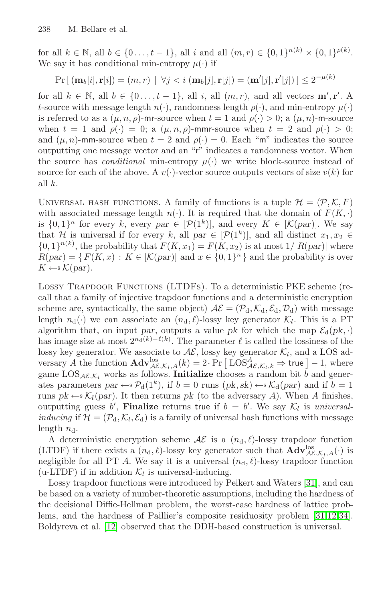for all  $k \in \mathbb{N}$ , all  $b \in \{0, \ldots, t-1\}$ , all i and all  $(m, r) \in \{0, 1\}^{n(k)} \times \{0, 1\}^{\rho(k)}$ . We say it has conditional min-entropy  $\mu(\cdot)$  if

$$
Pr [ (m_b[i], \mathbf{r}[i]) = (m, r) | \forall j < i (m_b[j], \mathbf{r}[j]) = (m'[j], \mathbf{r}'[j]) ] \leq 2^{-\mu(k)}
$$

for all  $k \in \mathbb{N}$ , all  $b \in \{0 \ldots, t-1\}$ , all i, all  $(m, r)$ , and all vectors **m'**, **r'**. A t-source with message length  $n(\cdot)$ , randomness length  $\rho(\cdot)$ , and min-entropy  $\mu(\cdot)$ is referred to as a  $(\mu, n, \rho)$ -m-source when  $t = 1$  and  $\rho(\cdot) > 0$ ; a  $(\mu, n)$ -m-source when  $t = 1$  and  $\rho(\cdot) = 0$ ; a  $(\mu, n, \rho)$ -mmr-source when  $t = 2$  and  $\rho(\cdot) > 0$ ; and  $(\mu, n)$ -mm-source when  $t = 2$  and  $\rho(\cdot) = 0$ . Each "m" indicates the source outputting one message vector and an "r" indicates a randomness vector. When the source has *conditional* min-entropy  $\mu(\cdot)$  we write block-source instead of source for each of the above. A  $v(\cdot)$ -vector source outputs vectors of size  $v(k)$  for all k.

UNIVERSAL HASH FUNCTIONS. A family of functions is a tuple  $\mathcal{H} = (\mathcal{P}, \mathcal{K}, F)$ with associated message length  $n(\cdot)$ . It is required that the domain of  $F(K, \cdot)$ is  $\{0,1\}^n$  for every k, every par  $\in$  [P(1<sup>k</sup>)], and every  $K \in$  [K(par)]. We say that H is universal if for every k, all par  $\in$  [P(1<sup>k</sup>)], and all distinct  $x_1, x_2 \in$  $\{0,1\}^{n(k)}$ , the probability that  $F(K, x_1) = F(K, x_2)$  is at most  $1/|R(\text{par})|$  where  $R(par) = \{F(K, x) : K \in [\mathcal{K}(par)] \text{ and } x \in \{0, 1\}^n\}$  and the probability is over  $K \leftarrow \kappa (par).$ 

LOSSY TRAPDOOR FUNCTIONS (LTDFS). To a deterministic PKE scheme (recall that a family of injective trapdoor functions and a deterministic encryption scheme are, syntactically, the same object)  $A\mathcal{E} = (\mathcal{P}_d, \mathcal{K}_d, \mathcal{E}_d, \mathcal{D}_d)$  with message length  $n_d(\cdot)$  we can associate an  $(n_d, \ell)$ -lossy key generator  $\mathcal{K}_l$ . This is a PT algorithm that, on input *par*, outputs a value *pk* for which the map  $\mathcal{E}_{d}(pk, \cdot)$ has image size at most  $2^{n_d(k)-\ell(k)}$ . The parameter  $\ell$  is called the lossiness of the lossy key generator. We associate to  $A\mathcal{E}$ , lossy key generator  $\mathcal{K}_l$ , and a LOS adversary A the function  $\mathbf{Adv}_{\mathcal{AE},\mathcal{K}_l,A}^{\text{los}}(k) = 2 \cdot \Pr\left[\text{LOS}_{\mathcal{AE},\mathcal{K}_l,k}^A \Rightarrow \text{true}\right] - 1$ , where game  $\text{LOS}_{\mathcal{A}\mathcal{E},\mathcal{K}_l}$  works as follows. **Initialize** chooses a random bit  $\vec{b}$  and generates parameters  $par \leftarrow^* \mathcal{P}_d(1^k)$ , if  $b = 0$  runs  $(pk, sk) \leftarrow^* \mathcal{K}_d(par)$  and if  $b = 1$ runs  $pk \leftarrow k_l(par)$ . It then returns *pk* (to the [adv](#page-17-9)ersary *A*). When *A* finishes, outputting guess b', **Finalize** returns true if  $b = b'$ . We say  $\mathcal{K}_l$  is *universalinducing* if  $\mathcal{H} = (\mathcal{P}_d, \mathcal{K}_l, \mathcal{E}_d)$  is a family of universal hash functions with message length  $n_d$ .

A deterministic encryption scheme  $\mathcal{AE}$  is a  $(n_d, \ell)$  $(n_d, \ell)$  $(n_d, \ell)$ -l[ossy](#page-17-16) trapdoor function [\(](#page-16-5)LTDF) if there exists a  $(n_d, \ell)$ -lossy key generator such that  $\mathbf{Adv}_{\mathcal{AE}, \mathcal{K}_l, A}^{\text{los}}(\cdot)$  is negligible for all PT A. We say it is a universal  $(n_d, \ell)$ -lossy trapdoor function (u-LTDF) if in addition  $\mathcal{K}_l$  is universal-inducing.

Lossy trapdoor functions were introduced by Peikert and Waters [31], and can be based on a variety of number-theoretic assumptions, including the hardness of the decisional Diffie-Hellman problem, the worst-case hardness of lattice problems, and the hardness of Paillier's composite residuosity problem [31,12,34]. Boldyreva et al. [12] observed that the DDH-based construction is universal.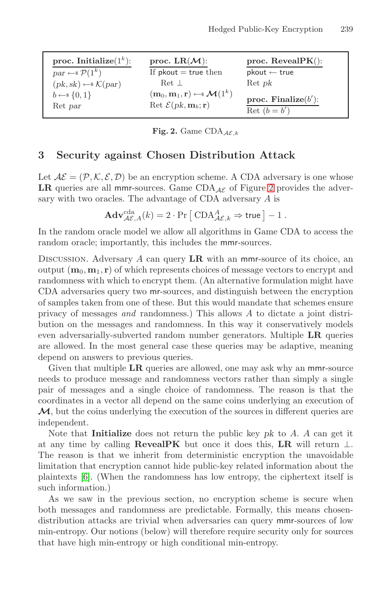<span id="page-7-1"></span><span id="page-7-0"></span>

| proc. Initialize( $1^k$ ):                      | proc. $LR(M)$ :                                                                   | proc. Reveal $PK$ ():   |
|-------------------------------------------------|-----------------------------------------------------------------------------------|-------------------------|
| $par \leftarrow^{\mathcal{B}} \mathcal{P}(1^k)$ | If $pkout = true then$                                                            | $pkout \leftarrow true$ |
| $(pk, sk) \leftarrow k (par)$                   | Ret L                                                                             | Ret pk                  |
| $b \leftarrow s \{0, 1\}$                       | $(\mathbf{m}_0, \mathbf{m}_1, \mathbf{r}) \leftarrow \mathbb{S} \mathcal{M}(1^k)$ | proc. Finalize $(b')$ : |
| Ret par                                         | Ret $\mathcal{E}(pk, \mathbf{m}_b; \mathbf{r})$                                   | Ret $(b=b')$            |

Fig. 2. Game  $CDA_{AE,k}$ 

## **3 Security against Chosen Distribution Attack**

Let  $A\mathcal{E} = (\mathcal{P}, \mathcal{K}, \mathcal{E}, \mathcal{D})$  be an encryption scheme. A CDA adversary is one whose **LR** queries are all mmr-sources. Game  $CDA_{\mathcal{AE}}$  of Figure 2 provides the adversary with two oracles. The advantage of CDA adversary A is

$$
\mathbf{Adv}_{\mathcal{AE},A}^{\text{cda}}(k) = 2 \cdot \Pr \left[ \text{ CDA}_{\mathcal{AE},k}^A \Rightarrow \text{true} \right] - 1 \, .
$$

In the random oracle model we allow all algorithms in Game CDA to access the random oracle; importantly, this includes the mmr-sources.

DISCUSSION. Adversary A can query **LR** with an mmr-source of its choice, an output  $(\mathbf{m}_0, \mathbf{m}_1, \mathbf{r})$  of which represents choices of message vectors to encrypt and randomness with which to encrypt them. (An alternative formulation might have CDA adversaries query two mr-sources, and distinguish between the encryption of samples taken from one of these. But this would mandate that schemes ensure privacy of messages *and* randomness.) This allows A to dictate a joint distribution on the messages and randomness. In this way it conservatively models even adversarially-subverted random number generators. Multiple **LR** queries are allowed. In the most general case these queries may be adaptive, meaning depend on answers to previous queries.

Given that multiple **LR** queries are allowed, one may ask why an mmr-source needs to produce message and randomness vectors rather than simply a single pair of messages and a single choice of randomness. The reason is that the coordinates in a vector all depend on the same coins underlying an execution of *M*, but the coins underlying the execution of the sources in different queries are independent.

Note that **Initialize** does not return the public key *pk* to A. A can get it at any time by calling **RevealPK** but once it does this, **LR** will return ⊥. The reason is that we inherit from deterministic encryption the unavoidable limitation that encryption cannot hide public-key related information about the plaintexts [6]. (When the randomness has low entropy, the ciphertext itself is such information.)

As we saw in the previous section, no encryption scheme is secure when both messages and randomness are predictable. Formally, this means chosendistribution attacks are trivial when adversaries can query mmr-sources of low min-entropy. Our notions (below) will therefore require security only for sources that have high min-entropy or high conditional min-entropy.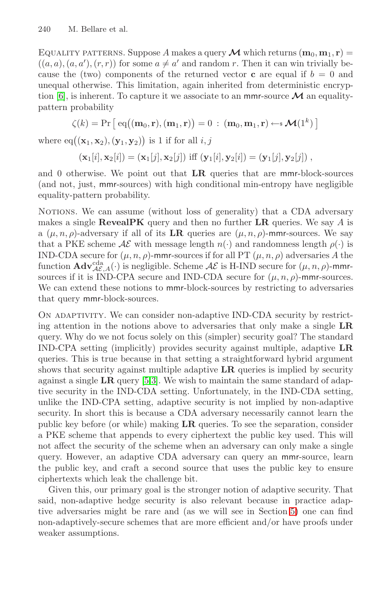EQUALITY PATTERNS. Suppose A makes a query  $M$  which returns  $(m_0, m_1, r)$  =  $((a, a), (a, a'), (r, r))$  for some  $a \neq a'$  and random r. Then it can win trivially because the (two) components of the returned vector **c** are equal if  $b = 0$  and unequal otherwise. This limitation, again inherited from deterministic encryption [6], is inherent. To capture it we associate to an mmr-source  $\mathcal M$  an equalitypattern probability

$$
\zeta(k) = \Pr\big[\,\mathrm{eq}\big((\mathbf{m}_0,\mathbf{r}),(\mathbf{m}_1,\mathbf{r})\big) = 0 \,:\, (\mathbf{m}_0,\mathbf{m}_1,\mathbf{r}) \leftarrow \mathrm{s}\, \mathcal{M}(1^k) \,\big]
$$

where  $eq((\mathbf{x}_1, \mathbf{x}_2), (\mathbf{y}_1, \mathbf{y}_2))$  is 1 if for all  $i, j$ 

 $(\mathbf{x}_1[i], \mathbf{x}_2[i]) = (\mathbf{x}_1[j], \mathbf{x}_2[j])$  iff  $(\mathbf{y}_1[i], \mathbf{y}_2[i]) = (\mathbf{y}_1[j], \mathbf{y}_2[j])$ ,

and 0 otherwise. We point out that **LR** queries that are mmr-block-sources (and not, just, mmr-sources) with high conditional min-entropy have negligible equality-pattern probability.

NOTIONS. We can assume (without loss of generality) that a CDA adversary makes a single **RevealPK** query and then no further **LR** queries. We say A is a  $(\mu, n, \rho)$ -adversary if all of its **LR** queries are  $(\mu, n, \rho)$ -mmr-sources. We say that a PKE scheme  $A\mathcal{E}$  with message length  $n(\cdot)$  and randomness length  $\rho(\cdot)$  is IND-CDA secure for  $(\mu, n, \rho)$ -mmr-sources if for all PT  $(\mu, n, \rho)$  adversaries A the function  $\mathbf{Adv}_{\mathcal{A}\mathcal{E},\mathcal{A}}^{\text{cda}}(\cdot)$  is negligible. Scheme  $\mathcal{A}\mathcal{E}$  is H-IND secure for  $(\mu, n, \rho)$ -mmrsources if it is IND-CPA secure and IND-CDA secure for  $(\mu, n, \rho)$ -mmr-sources. We can extend these notions to mmr-block-sources by restricting to adversaries that qu[er](#page-16-9)[y](#page-16-10) mmr-block-sources.

On adaptivity. We can consider non-adaptive IND-CDA security by restricting attention in the notions above to adversaries that only make a single **LR** query. Why do we not focus solely on this (simpler) security goal? The standard IND-CPA setting (implicitly) provides security against multiple, adaptive **LR** queries. This is true because in that setting a straightforward hybrid argument shows that security against multiple adaptive **LR** queries is implied by security against a single **LR** query [5,3]. We wish to maintain the same standard of adaptive security in the IND-CDA setting. Unfortunately, in the IND-CDA setting, unlike the IND-CPA setting, adaptive security is not implied by non-adaptive security. In short this is because a CDA adversary necessarily cannot learn the public key before (or while) making **LR** que[rie](#page-11-0)s. To see the separation, consider a PKE scheme that appends to every ciphertext the public key used. This will not affect the security of the scheme when an adversary can only make a single query. However, an adaptive CDA adversary can query an mmr-source, learn the public key, and craft a second source that uses the public key to ensure ciphertexts which leak the challenge bit.

Given this, our primary goal is the stronger notion of adaptive security. That said, non-adaptive hedge security is also relevant because in practice adaptive adversaries might be rare and (as we will see in Section 5) one can find non-adaptively-secure schemes that are more efficient and/or have proofs under weaker assumptions.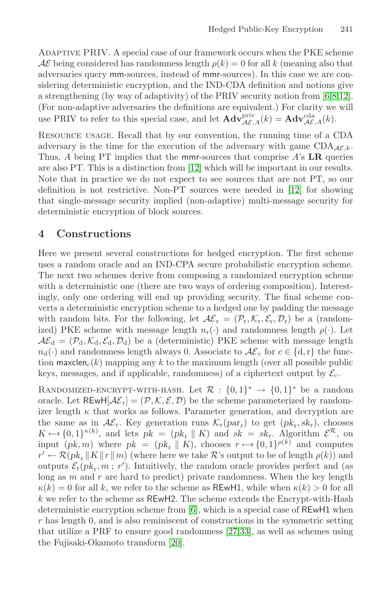Adaptive PRIV. A special case of our framework occurs when the PKE scheme  $\mathcal{A}\mathcal{E}$  being considered has randomness length  $\rho(k) = 0$  for all k (meaning also that adversaries query mm-sources, instead of mmr-sources). In this case we are considering determinis[tic](#page-16-5) encryption, and the IND-CDA definition and notions give a strengthening (by way of adaptivity) of the PRIV security notion from [6,8,12]. (For non-adaptive adversaries the definition[s ar](#page-16-5)e equivalent.) For clarity we will use PRIV to refer to this special case, and let  $\mathbf{Adv}_{\mathcal{AE},A}^{\text{priv}}(k) = \mathbf{Adv}_{\mathcal{AE},A}^{\text{cda}}(k)$ .

<span id="page-9-0"></span>Resource usage. Recall that by our convention, the running time of a CDA adversary is the time for the execution of the adversary with game  $CDA_{AE,k}$ . Thus, A being PT implies that the mmr-sources that comprise A's **LR** queries are also PT. This is a distinction from [12] which will be important in our results. Note that in practice we do not expect to see sources that are not PT, so our definition is not restrictive. Non-PT sources were needed in [12] for showing that single-message security implied (non-adaptive) multi-message security for deterministic encryption of block sources.

# **4 Constructions**

Here we present several constructions for hedged encryption. The first scheme uses a random oracle and an IND-CPA secure probabilistic encryption scheme. The next two schemes derive from composing a randomized encryption scheme with a deterministic one (there are two ways of ordering composition). Interestingly, only one ordering will end up providing security. The final scheme converts a deterministic encryption scheme to a hedged one by padding the message with random bits. For the following, let  $\mathcal{AE}_r = (\mathcal{P}_r, \mathcal{K}_r, \mathcal{E}_r, \mathcal{D}_r)$  be a (randomized) PKE scheme with message length  $n_r(\cdot)$  and randomness length  $\rho(\cdot)$ . Let  $\mathcal{AE}_{d} = (\mathcal{P}_{d}, \mathcal{K}_{d}, \mathcal{E}_{d}, \mathcal{D}_{d})$  be a (deterministic) PKE scheme with message length  $n_d(\cdot)$  and randomness length always 0. Associate to  $\mathcal{AE}_c$  for  $c \in \{d, r\}$  the function maxclen<sub>c</sub> $(k)$  mapping any k to the maximum length (over all possible public keys, messages, and if applicable, randomness) of a ciphertext output by  $\mathcal{E}_c$ .

RANDOMIZED-ENCRYPT-WITH-HASH. Let  $\mathcal{R} : \{0,1\}^* \to \{0,1\}^*$  be a random oracle. Let  $REwH[\mathcal{A}\mathcal{E}_r]=(\mathcal{P},\mathcal{K},\mathcal{E},\mathcal{D})$  be the scheme parameterized by randomizer length  $\kappa$  that works as follows. Parameter generation, and decryption are the same as in  $A\mathcal{E}_{r}$  $A\mathcal{E}_{r}$  $A\mathcal{E}_{r}$ . Key generation runs  $\mathcal{K}_{r}(par_{r})$  to get  $(pk_{r}, sk_{r})$ , chooses  $K \leftarrow \{0,1\}^{\kappa(k)}$ , and lets  $pk = (pk_r \parallel K)$  and  $sk = sk_r$ . Algorithm  $\mathcal{E}^{\mathcal{R}}$ , on input  $(pk, m)$  $(pk, m)$  $(pk, m)$  where  $pk = (pk_r || K)$  $pk = (pk_r || K)$  $pk = (pk_r || K)$ , chooses  $r \leftarrow s \{0, 1\}^{\rho(k)}$  and computes  $r' \leftarrow \mathcal{R}(pk_r || K || r || m)$  (where here we take R's output to be of length  $\rho(k)$ ) and outputs  $\mathcal{E}_r(pk_r, m; r')$ . Intuitively, the random oracle provides perfect and (as long as  $m$  and  $r$  are hard to predict) private randomness. When the key length  $\kappa(k) = 0$  for all k, we refer to the scheme as REwH1, while when  $\kappa(k) > 0$  for all  $k$  we refer to the scheme as REwH2. The scheme extends the Encrypt-with-Hash deterministic encryption scheme from [6], which is a special case of REwH1 when r has length 0, and is also reminiscent of constructions in the symmetric setting that utilize a PRF to ensure good randomness [27,33], as well as schemes using the Fujisaki-Okamoto transform [20].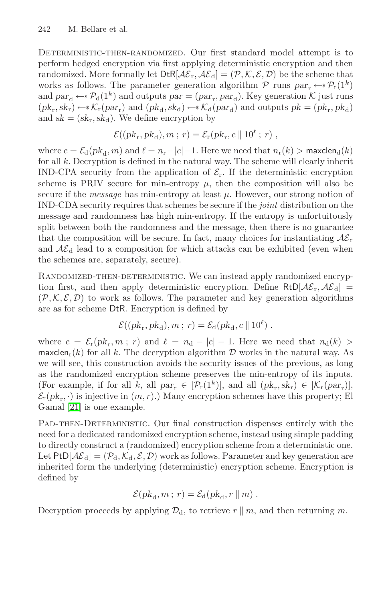DETERMINISTIC-THEN-RANDOMIZED. Our first standard model attempt is to perform hedged encryption via first applying deterministic encryption and then randomized. More formally let  $DtR[\mathcal{AE}_r, \mathcal{AE}_d] = (\mathcal{P}, \mathcal{K}, \mathcal{E}, \mathcal{D})$  be the scheme that works as follows. The parameter generation algorithm  $P$  runs  $par_r \leftarrow P_r(1^k)$ and  $par_{d} \leftarrow \mathcal{P}_{d}(1^{k})$  and outputs  $par = (par_{r}, par_{d})$ . Key generation K just runs  $(pk_r, sk_r) \leftarrow k_r(par_r)$  and  $(pk_d, sk_d) \leftarrow k_d(par_d)$  and outputs  $pk = (pk_r, pk_d)$ and  $sk = (sk_r, sk_d)$ . We define encryption by

$$
\mathcal{E}((pk_{\mathrm{r}},pk_{\mathrm{d}}),m\,;\,r)=\mathcal{E}_{\mathrm{r}}(pk_{\mathrm{r}},c\parallel 10^{\ell}\,;\,r)\;,
$$

where  $c = \mathcal{E}_{d}(pk_{d}, m)$  and  $\ell = n_{r}-|c|-1$ . Here we need that  $n_{r}(k) >$  maxclen<sub>d</sub>(k) for all  $k$ . Decryption is defined in the natural way. The scheme will clearly inherit IND-CPA security from the application of  $\mathcal{E}_{r}$ . If the deterministic encryption scheme is PRIV secure for min-entropy  $\mu$ , then the composition will also be secure if the  $message$  has min-entropy at least  $\mu$ . However, our strong notion of IND-CDA security requires that schemes be secure if the *joint* distribution on the message and randomness has high min-entropy. If the entropy is unfortuitously split between both the randomness and the message, then there is no guarantee that the composition will be secure. In fact, many choices for instantiating  $A\mathcal{E}_r$ and  $A\mathcal{E}_{d}$  lead to a composition for which attacks can be exhibited (even when the schemes are, separately, secure).

RANDOMIZED-THEN-DETERMINISTIC. We can instead apply randomized encryption first, and then apply deterministic encryption. Define  $RtD[\mathcal{A}\mathcal{E}_{r}, \mathcal{A}\mathcal{E}_{d}] =$  $(\mathcal{P}, \mathcal{K}, \mathcal{E}, \mathcal{D})$  to work as follows. The parameter and key generation algorithms are as for scheme DtR. Encryption is defined by

$$
\mathcal{E}((pk_{\mathrm{r}},pk_{\mathrm{d}}),m\,;\,r)=\mathcal{E}_{\mathrm{d}}(pk_{\mathrm{d}},c\parallel 10^{\ell})\;.
$$

where  $c = \mathcal{E}_r(pk_r, m ; r)$  and  $\ell = n_d - |c| - 1$ . Here we need that  $n_d(k) >$ maxclen<sub>r</sub>(k) for all k. The decryption algorithm  $D$  works in the natural way. As we will see, this construction avoids the security issues of the previous, as long as the randomized encryption scheme preserves the min-entropy of its inputs. (For example, if for all k, all  $par_r \in [\mathcal{P}_r(1^k)]$ , and all  $(pk_r, sk_r) \in [\mathcal{K}_r(par_r)],$  $\mathcal{E}_r(pk_r, \cdot)$  is injective in  $(m, r)$ .) Many encryption schemes have this property; El Gamal [21] is one example.

PAD-THEN-DETERMINISTIC. Our final construction dispenses entirely with the need for a dedicated randomized encryption scheme, instead using simple padding to directly construct a (randomized) encryption scheme from a deterministic one. Let  $PtD[{\cal AE}_d]=(P_d,{\cal K}_d,{\cal E},{\cal D})$  work as follows. Parameter and key generation are inherited form the underlying (deterministic) encryption scheme. Encryption is defined by

$$
\mathcal{E}(pk_{\mathrm{d}}, m ; r) = \mathcal{E}_{\mathrm{d}}(pk_{\mathrm{d}}, r \parallel m) .
$$

Decryption proceeds by applying  $\mathcal{D}_d$ , to retrieve r  $||m$ , and then returning m.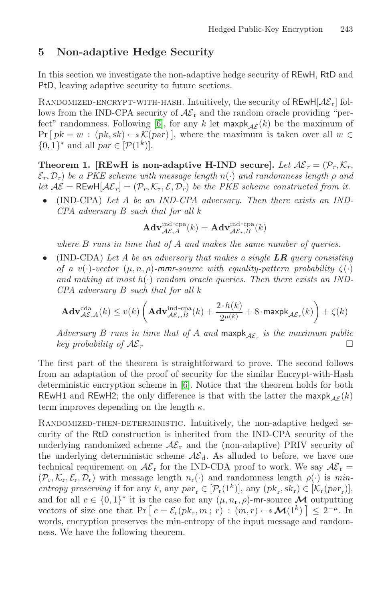# <span id="page-11-0"></span>**5 Non-adaptive Hedge Security**

In this section we investigate the non-adaptive hedge security of REwH, RtD and PtD, leaving adaptive security to future sections.

RANDOMIZED-ENCRYPT-WITH-HASH. Intuitively, the security of  $\mathsf{REwH}[\mathcal{AE}_r]$  follows from the IND-CPA security of  $A\mathcal{E}_r$  and the random oracle providing "perfect" randomness. Following [6], for any k let  $\text{maxpk}_{\mathcal{AE}}(k)$  be the maximum of  $Pr[ p k = w : (p k, s k) \leftarrow k (p a r) ]$ , where the maximum is taken over all w  $\{0,1\}^*$  and all  $par \in [\mathcal{P}(1^k)]$ .

**Theorem 1. [REwH is non-adaptive H-IND secure].** Let  $A\mathcal{E}_r = (\mathcal{P}_r, \mathcal{K}_r, \mathcal{P}_r)$  $\mathcal{E}_r, \mathcal{D}_r$ ) *be a PKE scheme with message length*  $n(\cdot)$  *and randomness length*  $\rho$  *and let*  $A\mathcal{E} = \text{REwH}[A\mathcal{E}_r] = (\mathcal{P}_r, \mathcal{K}_r, \mathcal{E}, \mathcal{D}_r)$  *be the PKE scheme constructed from it.* 

• (IND-CPA) *Let* A *be an IND-CPA adversary. Then there exists an IND-CPA adversary* B *such that for all* k

$$
\mathbf{Adv}_{\mathcal{AE},A}^{\text{ind-cpa}}(k) = \mathbf{Adv}_{\mathcal{AE}_r,B}^{\text{ind-cpa}}(k)
$$

*where* B *runs in time that of* A *and makes the same number of queries.*

• (IND-CDA) *Let* A *be an adversary that makes a single LR query consisting of a*  $v(\cdot)$ -vector  $(\mu, n, \rho)$ -*mmr-source with equality-pattern probability*  $\zeta(\cdot)$ *and making at most* h(·) *random oracle queries. Then there exists an IND-CPA adversary* B *such that for all* k

$$
\mathbf{Adv}_{\mathcal{AE},A}^{\mathrm{cda}}(k) \leq v(k)\left(\mathbf{Adv}_{\mathcal{AE}_r,B}^{\mathrm{ind-cpa}}(k) + \frac{2\cdot h(k)}{2^{\mu(k)}} + 8\cdot\mathrm{maxpk}_{\mathcal{AE}_r}(k)\right) + \zeta(k)
$$

*Adversary* B runs in time that of A and  $\max_{A \in \mathcal{F}_r}$  is the maximum public key probability of  $A \mathcal{E}_r$  $key$  probability of  $A\mathcal{E}_r$ 

The first part of the theorem is straightforward to prove. The second follows from an adaptation of the proof of security for the similar Encrypt-with-Hash deterministic encryption scheme in [6]. Notice that the theorem holds for both REwH1 and REwH2; the only difference is that with the latter the maxpk  $_{45}(k)$ term improves depending on the length  $\kappa$ .

<span id="page-11-1"></span>RANDOMIZED-THEN-DETERMINISTIC. Intuitively, the non-adaptive hedged security of the RtD construction is inherited from the IND-CPA security of the underlying randomized scheme  $A\mathcal{E}_r$  and the (non-adaptive) PRIV security of the underlying deterministic scheme  $\mathcal{AE}_{d}$ . As alluded to before, we have one technical requirement on  $A\mathcal{E}_r$  for the IND-CDA proof to work. We say  $A\mathcal{E}_r =$  $(\mathcal{P}_r, \mathcal{K}_r, \mathcal{E}_r, \mathcal{D}_r)$  with message length  $n_r(\cdot)$  and randomness length  $\rho(\cdot)$  is *minentropy preserving* if for any k, any  $par_r \in [\mathcal{P}_r(1^k)]$ , any  $(pk_r, sk_r) \in [\mathcal{K}_r(par_r)]$ , and for all  $c \in \{0,1\}^*$  it is the case for any  $(\mu, n_r, \rho)$ -mr-source **M** outputting vectors of size one that  $Pr\left[c = \mathcal{E}_r(pk_r, m; r) : (m, r) \leftarrow \mathcal{M}(1^k)\right] \leq 2^{-\mu}$ . In words, encryption preserves the min-entropy of the input message and randomness. We have the following theorem.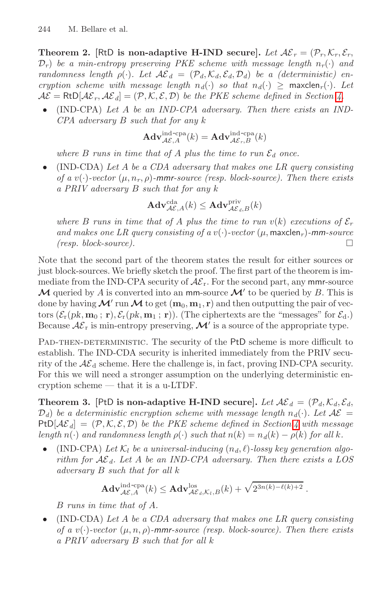**Theorem 2.** [RtD is non-adaptive H-IND secure]. Let  $A\mathcal{E}_r = (\mathcal{P}_r, \mathcal{K}_r, \mathcal{E}_r,$  $\mathcal{D}_r$ ) *be a min-entropy preserving PKE scheme with message length*  $n_r(\cdot)$  *and randomness length*  $\rho(\cdot)$ *. Let*  $\mathcal{AE}_d = (\mathcal{P}_d, \mathcal{K}_d, \mathcal{E}_d, \mathcal{D}_d)$  be a (deterministic) en*cryption scheme with message length*  $n_d(\cdot)$  *so that*  $n_d(\cdot) \geq$  maxclen<sub>r</sub>( $\cdot$ )*. Let*  $A\mathcal{E} = \text{RtD}[\mathcal{AE}_r, \mathcal{AE}_d] = (\mathcal{P}, \mathcal{K}, \mathcal{E}, \mathcal{D})$  *be the PKE scheme defined in Section 4.* 

• (IND-CPA) *Let* A *be an IND-CPA adversary. Then there exists an IND-CPA adversary* B *such that for any* k

$$
\mathbf{Adv}_{\mathcal{AE},A}^{\text{ind-cpa}}(k) = \mathbf{Adv}_{\mathcal{AE}_r,B}^{\text{ind-cpa}}(k)
$$

*where B* runs in time that of *A* plus the time to run  $\mathcal{E}_d$  once.

• (IND-CDA) *Let* A *be a CDA adversary that makes one LR query consisting of a*  $v(\cdot)$ -vector  $(\mu, n_r, \rho)$ -**mmr**-source (resp. block-source). Then there exists *a PRIV adversary* B *such that for any* k

$$
Adv{\mathcal{A}\mathcal{E},A}^{\text{cda}}(k) \leq Adv{\mathcal{A}\mathcal{E}}_{d,\mathcal{B}}^{\text{priv}}(k)
$$

*where* B runs in time that of A plus the time to run  $v(k)$  *executions of*  $\mathcal{E}_r$ *and makes one LR query consisting of a*  $v(\cdot)$ *-vector* ( $\mu$ , maxclen<sub>*r*</sub>)*-mm-source*  $(resp. \text{ block-source}).$ 

Note that the second part of the theorem states the result for either sources or just block-sources. We briefly sketch the proof. The first part of the theorem is immediate from the IND-CPA security of  $A\mathcal{E}_r$ . For the second part, any mmr-source  $M$  queried by A is converted into an mm-source  $M'$  to be queried by B. This is done by having  $\mathcal{M}'$  run  $\mathcal{M}$  to get  $(\mathbf{m}_0, \mathbf{m}_1, \mathbf{r})$  and then outputting the pair of vectors  $(\mathcal{E}_r(pk, \mathbf{m}_0; \mathbf{r}), \mathcal{E}_r(pk, \mathbf{m}_1; \mathbf{r}))$ . (The ciphertexts are the "messages" for  $\mathcal{E}_d$ .) Because  $A\mathcal{E}_r$  is min-entropy preserving,  $\mathcal{M}'$  is a source of the appropriate type.

<span id="page-12-0"></span>PAD-THEN-DETERMINISTIC. The security of [the](#page-9-0) PtD scheme is more difficult to establish. The IND-CDA security is inherited immediately from the PRIV security of the  $A\mathcal{E}_{d}$  scheme. Here the challenge is, in fact, proving IND-CPA security. For this we will need a stronger assumption on the underlying deterministic encryption scheme — that it is a u-LTDF.

**Theorem 3.** [PtD is non-adaptive H-IND secure]. Let  $\mathcal{AE}_d = (\mathcal{P}_d, \mathcal{K}_d, \mathcal{E}_d, \mathcal{E}_d)$  $D_d$ ) *be a deterministic encryption scheme with message length*  $n_d(\cdot)$ *. Let*  $\mathcal{A}\mathcal{E}$  =  $PtD[{\cal AE}_d]=(P, {\cal K}, {\cal E}, {\cal D})$  *be the PKE scheme defined in Section 4 with message length*  $n(\cdot)$  *and randomness length*  $\rho(\cdot)$  *such that*  $n(k) = n_d(k) - \rho(k)$  *for all* k.

(IND-CPA) Let  $K_l$  be a universal-inducing  $(n_d, \ell)$ -lossy key generation algo*rithm for* AE*d. Let* A *be an IND-CPA adversary. Then there exists a LOS adversary* B *such that for all* k

$$
\mathbf{Adv}_{\mathcal{AE},A}^{\text{ind-cpa}}(k) \leq \mathbf{Adv}_{\mathcal{AE}_d,\mathcal{K}_l,B}^{\text{los}}(k) + \sqrt{2^{3n(k)-\ell(k)+2}} \ .
$$

B *runs in time that of* A*.*

• (IND-CDA) *Let* A *be a CDA adversary that makes one LR query consisting of a*  $v(\cdot)$ -vector  $(\mu, n, \rho)$ -*mmr-source (resp. block-source). Then there exists a PRIV adversary* B *such that for all* k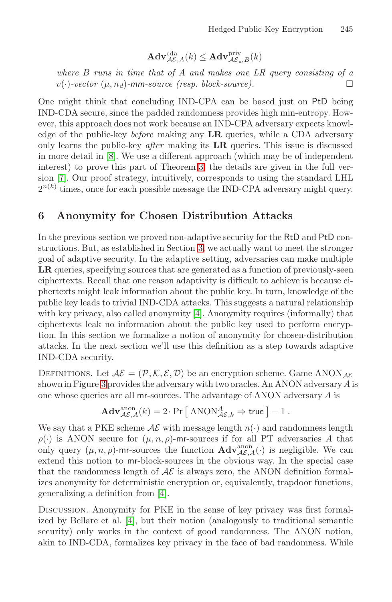$$
\mathbf{Adv}_{\mathcal{AE},A}^{\text{cda}}(k) \leq \mathbf{Adv}_{\mathcal{AE}_d,B}^{\text{priv}}(k)
$$

*where* B *runs in time that of* A *and makes one LR query consisting of a*  $v(\cdot)$  $v(\cdot)$ *-vector*  $(u, n_d)$ *-mm-source (resp. block-source).* 

One might think that concluding IND-CPA can be based just on PtD being IND-CDA secure, since the padded randomness provides high min-entropy. However, this approach does not work because an IND-CPA adversary expects knowledge of the public-key *before* making any **LR** queries, while a CDA adversary only learns the public-key *after* making its **LR** queries. This issue is discussed in more detail in [8]. We use a different approach (which may be of independent interest) to prove thi[s](#page-7-1) part of Theorem 3; the details are given in the full version [7]. Our proof strategy, intuitively, corresponds to using the standard LHL  $2^{n(k)}$  times, once for each possible message the IND-CPA adversary might query.

# **6 Anonymity for Chosen Distribution Attacks**

In the previous secti[on](#page-16-6) we proved non-adaptive security for the RtD and PtD constructions. But, as established in Section 3, we actually want to meet the stronger goal of adaptive security. In the adaptive setting, adversaries can make multiple **LR** queries, specifying sources that are generated as a function of previously-seen ciphertexts. Recall that one reason adaptivity is difficult to achieve is because ciphertexts might leak information about the public key. In turn, knowledge of the public key leads to trivial IND-CDA attacks. This suggests a natural relationship with key privacy, also called anonymity [4]. Anonymity requires (informally) that ciphertexts leak no information about the public key used to perform encryption. In this section we formalize a notion of anonymity for chosen-distribution attacks. In the next section we'll use this definition as a step towards adaptive IND-CDA security.

DEFINITIONS. Let  $A\mathcal{E} = (\mathcal{P}, \mathcal{K}, \mathcal{E}, \mathcal{D})$  be an encryption scheme. Game ANON<sub>AE</sub> shown in Figure 3 provides the adversary with two oracles. An ANON adversary  $A$  is one whose queries are all mr-sources. The advantage of ANON adversary A is

$$
\mathbf{Adv}_{\mathcal{AE},A}^{\text{anon}}(k) = 2 \cdot \Pr\left[\text{ANON}_{\mathcal{AE},k}^A \Rightarrow \text{true}\right] - 1.
$$

We say that a PKE scheme  $A\mathcal{E}$  with message length  $n(\cdot)$  and randomness length  $\rho(\cdot)$  $\rho(\cdot)$  [i](#page-16-6)s ANON secure for  $(\mu, n, \rho)$ -mr-sources if for all PT adversaries A that only query  $(\mu, n, \rho)$ -mr-sources the function  $\mathbf{Adv}_{\mathcal{A}\mathcal{E}, A}^{\text{anon}}(\cdot)$  is negligible. We can extend this notion to mr-block-sources in the obvious way. In the special case that the randomness length of  $\mathcal{A}\mathcal{E}$  is always zero, the ANON definition formalizes anonymity for deterministic encryption or, equivalently, trapdoor functions, generalizing a definition from [4].

Discussion. Anonymity for PKE in the sense of key privacy was first formalized by Bellare et al. [4], but their notion (analogously to traditional semantic security) only works in the context of good randomness. The ANON notion, akin to IND-CDA, formalizes key privacy in the face of bad randomness. While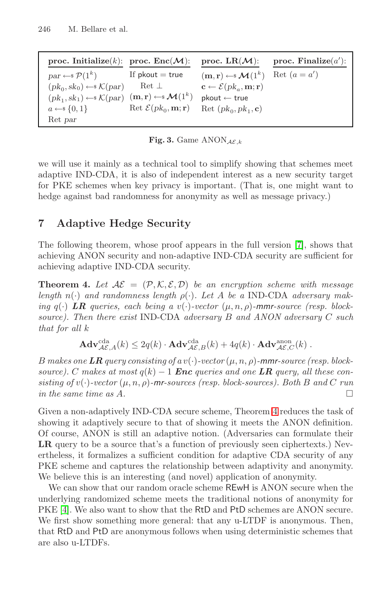```
\textbf{proc. Initialize}(k): \textbf{proc. Enc}(\mathcal{M}):
par \leftarrow^{\circ} \mathcal{P}(1^k)(pk_0, sk_0) \leftarrow \{ (par)(pk_1, sk_1) \leftarrow \mathcal{K}(par) (\mathbf{m}, \mathbf{r}) \leftarrow \mathcal{M}(1^k)<br>
\mathbf{p}_{\alpha t} \mathcal{L}(\mathbf{p}_{\alpha t}, \mathbf{m}, \mathbf{r})a \leftarrow s \{0, 1\}Ret par
                                                   If pkout = trueRet ⊥
                                                   Ret \mathcal{E}(pk_0, \mathbf{m}; \mathbf{r})proc. LR(M):
                                                                                                 (\mathbf{m}, \mathbf{r}) \leftarrow \mathbf{s} \mathcal{M}(1^k)\mathbf{c} \leftarrow \mathcal{E}(p\mathbf{k}_a, \mathbf{m}; \mathbf{r})pkout ← true
                                                                                                \text{Ret}(pk_0, pk_1, c)\frac{\textbf{proc.}\ \textbf{Finalize}(a')}{a}\text{Ret}(a = a')
```
Fig. 3. Game ANON<sub>AE,k</sub>

<span id="page-14-0"></span>we will use it mainly as a technical tool to si[mp](#page-16-2)lify showing that schemes meet adaptive IND-CDA, it is also of independent interest as a new security target for PKE schemes when key privacy is important. (That is, one might want to hedge against bad randomness for anonymity as well as message privacy.)

# **7 Adaptive Hedge Security**

The following theorem, whose proof appears in the full version [7], shows that achieving ANON security and non-adaptive IND-CDA security are sufficient for achieving adaptive IND-CDA security.

**Theorem 4.** Let  $A\mathcal{E} = (\mathcal{P}, \mathcal{K}, \mathcal{E}, \mathcal{D})$  be an encryption scheme with message *length*  $n(\cdot)$  *and randomness length*  $\rho(\cdot)$ *. Let* A *be a* IND-CDA *adversary making*  $q(\cdot)$  *LR* queries, each being a  $v(\cdot)$ -vector  $(\mu, n, \rho)$ -mmr-source (resp. block*source). Then there exist* IND-CDA *adversary* B *and ANON adversary* C *such that for all* k

$$
\mathbf{Adv}_{\mathcal{AE},A}^{\text{cda}}(k) \le 2q(k) \cdot \mathbf{Adv}_{\mathcal{AE},B}^{\text{cda}}(k) + 4q(k) \cdot \mathbf{Adv}_{\mathcal{AE},C}^{\text{anon}}(k) .
$$

B makes one **LR** query consisting of a  $v(\cdot)$ -vector  $(\mu, n, \rho)$ -mmr-source (resp. block*source*). C makes at most  $q(k) - 1$  **Enc** queries and one **LR** query, all these con*sisting of*  $v(\cdot)$ *-vector*  $(\mu, n, \rho)$ *-mr-sources* (resp. block-sources). Both B and C run *in the same time as* A*.* -

Given a non-adaptively IND-CDA secure scheme, Theorem 4 reduces the task of showing it adaptively secure to that of showing it meets the ANON definition. Of course, ANON is still an adaptive notion. (Adversaries can formulate their **LR** query to be a source that's a function of previously seen ciphertexts.) Nevertheless, it formalizes a sufficient condition for adaptive CDA security of any PKE scheme and captures the relationship between adaptivity and anonymity. We believe this is an interesting (and novel) application of anonymity.

We can show that our random oracle scheme REwH is ANON secure when the underlying randomized scheme meets the traditional notions of anonymity for PKE [4]. We also want to show that the RtD and PtD schemes are ANON secure. We first show something more general: that any u-LTDF is anonymous. Then, that RtD and PtD are anonymous follows when using deterministic schemes that are also u-LTDFs.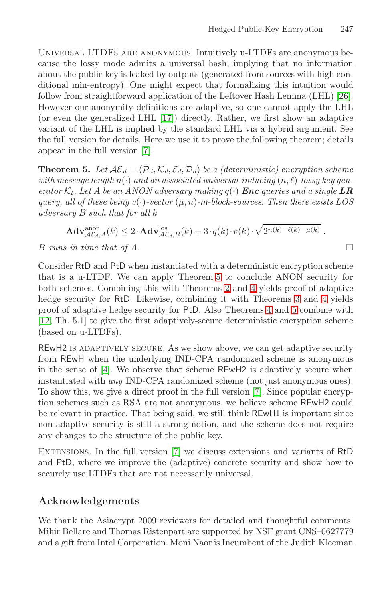$\Box$ 

<span id="page-15-0"></span>Universal LTDFs are anonymous. Intuitively u-LTDFs are anonymous because t[he](#page-16-2) lossy mode admits a universal hash, implying that no information about the public key is leaked by outputs (generated from sources with high conditional min-entropy). One might expect that formalizing this intuition would follow from straightforward application of the Leftover Hash Lemma (LHL) [26]. However our anonymity definitions are adaptive, so one cannot apply the LHL (or even the generalized LHL [17]) directly. Rather, we first show an adaptive variant of the LHL is implied by the standard LHL via a hybrid argument. See the full version for details. Here we use it to prove the following theorem; details appear in the full version [7].

**Theorem 5.** Let  $\mathcal{AE}_d = (\mathcal{P}_d, \mathcal{K}_d, \mathcal{E}_d, \mathcal{D}_d)$  be a (deterministic) encryption scheme with message length  $n(\cdot)$  and an associated universal-inducing  $(n, \ell)$ -lossy key gen*erator*  $K_l$ *. Let* A *be an AN[ON](#page-15-0)* adversary making  $q(\cdot)$  **Enc** queries and a single **LR** *guery, all of these being*  $v(\cdot)$  $v(\cdot)$  $v(\cdot)$ *[-ve](#page-11-1)ctor*  $(\mu, n)$ *-m-block-sources. Then there exists LOS adversary* B *such that for all* k

$$
\mathbf{Adv}_{\mathcal{AE}_d,A}^{\text{anon}}(k) \leq 2 \cdot \mathbf{Adv}_{\mathcal{AE}_d,B}^{\text{los}}(k) + 3 \cdot q(k) \cdot v(k) \cdot \sqrt{2^{n(k) - \ell(k) - \mu(k)}}.
$$

B *runs in time that of* A*.* -

Consider RtD and PtD when instantiated with a deterministic encryption scheme that is a u-LTDF. We can apply Theorem 5 to conclude ANON security for both schemes. Combining this with Theorems 2 and 4 yields proof of adaptive hedge security for RtD. Likewise, combining it with Theorems 3 and 4 yields proof of adaptive hedge security for [P](#page-16-2)tD. Also Theorems 4 and 5 combine with [12, Th. 5.1] to give the first adaptively-secure deterministic encryption scheme (based on u-LTDFs).

REwH2 is adaptively secure. As we show above, we can get adaptive security from REwH when the underlying IND-CPA randomized scheme is anonymous in the sense of [\[4](#page-16-2)]. We observe that scheme REwH2 is adaptively secure when instantiated with *any* IND-CPA randomized scheme (not just anonymous ones). To show this, we give a direct proof in the full version [7]. Since popular encryption schemes such as RSA are not anonymous, we believe scheme REwH2 could be relevant in practice. That being said, we still think REwH1 is important since non-adaptive security is still a strong notion, and the scheme does not require any changes to the structure of the public key.

Extensions. In the full version [7] we discuss extensions and variants of RtD and PtD, where we improve the (adaptive) concrete security and show how to securely use LTDFs that are not necessarily universal.

### **Acknowledgements**

We thank the Asiacrypt 2009 reviewers for detailed and thoughtful comments. Mihir Bellare and Thomas Ristenpart are supported by NSF grant CNS–0627779 and a gift from Intel Corporation. Moni Naor is Incumbent of the Judith Kleeman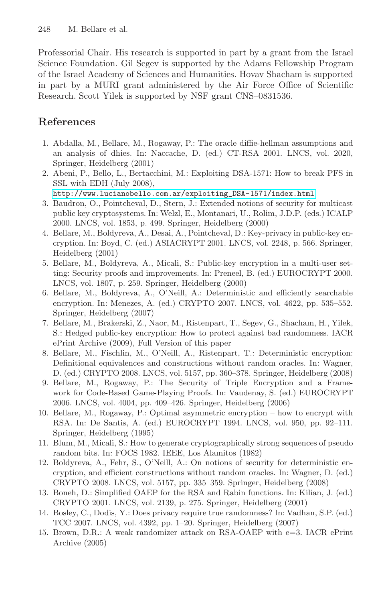<span id="page-16-7"></span>Professorial Chair. His research is supported in part by a grant from the Israel Science Foundation. Gil Segev is supported by the Adams Fellowship Program of the Israel Academy of Sciences and Humanities. Hovav Shacham is supported in part by a MURI grant administered by the Air Force Office of Scientific Research. Scott Yilek is supported by NSF grant CNS–0831536.

## <span id="page-16-10"></span><span id="page-16-6"></span>**References**

- 1. Abdalla, M., Bellare, M., Rogaway, P.: The oracle diffie-hellman assumptions and an analysis of dhies. In: Naccache, D. (ed.) CT-RSA 2001. LNCS, vol. 2020, Springer, Heidelberg (2001)
- <span id="page-16-9"></span>2. Abeni, P., Bello, L., Bertacchini, M.: Exploiting DSA-1571: How to break PFS in SSL with EDH (July 2008),

http://www.lucianobello.com.ar/exploiting\_DSA-1571/index.html

- <span id="page-16-3"></span>3. Baudron, O., Pointcheval, D., Stern, J.: Extended notions of security for multicast public key cryptosystems. In: Welzl, E., Montanari, U., Rolim, J.D.P. (eds.) ICALP 2000. LNCS, vol. 1853, p. 499. Springer, Heidelberg (2000)
- <span id="page-16-2"></span>4. Bellare, M., Boldyreva, A., Desai, A., Pointcheval, D.: Key-privacy in public-key encryption. In: Boyd, C. (ed.) ASIACRYPT 2001. LNCS, vol. 2248, p. 566. Springer, Heidelberg (2001)
- <span id="page-16-4"></span>5. Bellare, M., Boldyreva, A., Micali, S.: Public-key encryption in a multi-user setting: Security proofs and improvements. In: Preneel, B. (ed.) EUROCRYPT 2000. LNCS, vol. 1807, p. 259. Springer, Heidelberg (2000)
- 6. Bellare, M., Boldyreva, A., O'Neill, A.: Deterministic and efficiently searchable encryption. In: Menezes, A. (ed.) CRYPTO 2007. LNCS, vol. 4622, pp. 535–552. Springer, Heidelberg (2007)
- 7. Bellare, M., Brakerski, Z., Naor, M., Ristenpart, T., Segev, G., Shacham, H., Yilek, S.: Hedged public-key encryption: How to protect against bad randomness. IACR ePrint Archive (2009), Full Version of this paper
- 8. Bellare, M., Fischlin, M., O'Neill, A., Ristenpart, T.: Deterministic encryption: Definitional equivalences and constructions without random oracles. In: Wagner, D. (ed.) CRYPTO 2008. LNCS, vol. 5157, pp. 360–378. Springer, Heidelberg (2008)
- <span id="page-16-5"></span>9. Bellare, M., Rogaway, P.: The Security of Triple Encryption and a Framework for Code-Based Game-Playing Proofs. In: Vaudenay, S. (ed.) EUROCRYPT 2006. LNCS, vol. 4004, pp. 409–426. Springer, Heidelberg (2006)
- <span id="page-16-8"></span><span id="page-16-1"></span>10. Bellare, M., Rogaway, P.: Optimal asymmetric encryption – how to encrypt with RSA. In: De Santis, A. (ed.) EUROCRYPT 1994. LNCS, vol. 950, pp. 92–111. Springer, Heidelberg (1995)
- <span id="page-16-0"></span>11. Blum, M., Micali, S.: How to generate cryptographically strong sequences of pseudo random bits. In: FOCS 1982. IEEE, Los Alamitos (1982)
- 12. Boldyreva, A., Fehr, S., O'Neill, A.: On notions of security for deterministic encryption, and efficient constructions without random oracles. In: Wagner, D. (ed.) CRYPTO 2008. LNCS, vol. 5157, pp. 335–359. Springer, Heidelberg (2008)
- 13. Boneh, D.: Simplified OAEP for the RSA and Rabin functions. In: Kilian, J. (ed.) CRYPTO 2001. LNCS, vol. 2139, p. 275. Springer, Heidelberg (2001)
- 14. Bosley, C., Dodis, Y.: Does privacy require true randomness? In: Vadhan, S.P. (ed.) TCC 2007. LNCS, vol. 4392, pp. 1–20. Springer, Heidelberg (2007)
- 15. Brown, D.R.: A weak randomizer attack on RSA-OAEP with e=3. IACR ePrint Archive (2005)